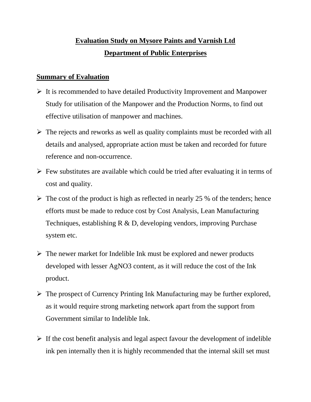## **Evaluation Study on Mysore Paints and Varnish Ltd Department of Public Enterprises**

## **Summary of Evaluation**

- $\triangleright$  It is recommended to have detailed Productivity Improvement and Manpower Study for utilisation of the Manpower and the Production Norms, to find out effective utilisation of manpower and machines.
- $\triangleright$  The rejects and reworks as well as quality complaints must be recorded with all details and analysed, appropriate action must be taken and recorded for future reference and non-occurrence.
- $\triangleright$  Few substitutes are available which could be tried after evaluating it in terms of cost and quality.
- $\triangleright$  The cost of the product is high as reflected in nearly 25 % of the tenders; hence efforts must be made to reduce cost by Cost Analysis, Lean Manufacturing Techniques, establishing R & D, developing vendors, improving Purchase system etc.
- $\triangleright$  The newer market for Indelible Ink must be explored and newer products developed with lesser AgNO3 content, as it will reduce the cost of the Ink product.
- $\triangleright$  The prospect of Currency Printing Ink Manufacturing may be further explored, as it would require strong marketing network apart from the support from Government similar to Indelible Ink.
- $\triangleright$  If the cost benefit analysis and legal aspect favour the development of indelible ink pen internally then it is highly recommended that the internal skill set must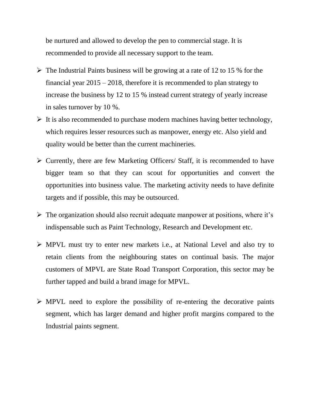be nurtured and allowed to develop the pen to commercial stage. It is recommended to provide all necessary support to the team.

- $\triangleright$  The Industrial Paints business will be growing at a rate of 12 to 15 % for the financial year 2015 – 2018, therefore it is recommended to plan strategy to increase the business by 12 to 15 % instead current strategy of yearly increase in sales turnover by 10 %.
- $\triangleright$  It is also recommended to purchase modern machines having better technology, which requires lesser resources such as manpower, energy etc. Also yield and quality would be better than the current machineries.
- $\triangleright$  Currently, there are few Marketing Officers/ Staff, it is recommended to have bigger team so that they can scout for opportunities and convert the opportunities into business value. The marketing activity needs to have definite targets and if possible, this may be outsourced.
- $\triangleright$  The organization should also recruit adequate manpower at positions, where it's indispensable such as Paint Technology, Research and Development etc.
- MPVL must try to enter new markets i.e., at National Level and also try to retain clients from the neighbouring states on continual basis. The major customers of MPVL are State Road Transport Corporation, this sector may be further tapped and build a brand image for MPVL.
- $\triangleright$  MPVL need to explore the possibility of re-entering the decorative paints segment, which has larger demand and higher profit margins compared to the Industrial paints segment.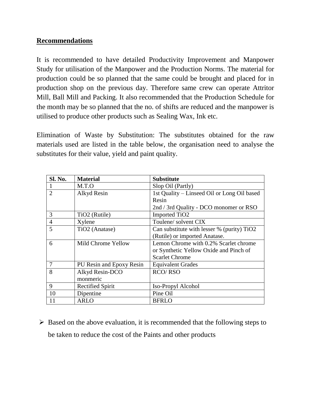## **Recommendations**

It is recommended to have detailed Productivity Improvement and Manpower Study for utilisation of the Manpower and the Production Norms. The material for production could be so planned that the same could be brought and placed for in production shop on the previous day. Therefore same crew can operate Attritor Mill, Ball Mill and Packing. It also recommended that the Production Schedule for the month may be so planned that the no. of shifts are reduced and the manpower is utilised to produce other products such as Sealing Wax, Ink etc.

Elimination of Waste by Substitution: The substitutes obtained for the raw materials used are listed in the table below, the organisation need to analyse the substitutes for their value, yield and paint quality.

| Sl. No.        | <b>Material</b>           | <b>Substitute</b>                           |
|----------------|---------------------------|---------------------------------------------|
|                | M.T.O                     | Slop Oil (Partly)                           |
| $\overline{2}$ | Alkyd Resin               | 1st Quality – Linseed Oil or Long Oil based |
|                |                           | Resin                                       |
|                |                           | 2nd / 3rd Quality - DCO monomer or RSO      |
| 3              | TiO <sub>2</sub> (Rutile) | <b>Imported TiO2</b>                        |
| $\overline{4}$ | Xylene                    | Toulene/solvent CIX                         |
| 5              | TiO2 (Anatase)            | Can substitute with lesser % (purity) TiO2  |
|                |                           | (Rutile) or imported Anatase.               |
| 6              | Mild Chrome Yellow        | Lemon Chrome with 0.2% Scarlet chrome       |
|                |                           | or Synthetic Yellow Oxide and Pinch of      |
|                |                           | <b>Scarlet Chrome</b>                       |
| 7              | PU Resin and Epoxy Resin  | <b>Equivalent Grades</b>                    |
| 8              | Alkyd Resin-DCO           | <b>RCO/RSO</b>                              |
|                | monmeric                  |                                             |
| 9              | <b>Rectified Spirit</b>   | Iso-Propyl Alcohol                          |
| 10             | Dipentine                 | Pine Oil                                    |
| 11             | <b>ARLO</b>               | BFRLO                                       |

 $\triangleright$  Based on the above evaluation, it is recommended that the following steps to be taken to reduce the cost of the Paints and other products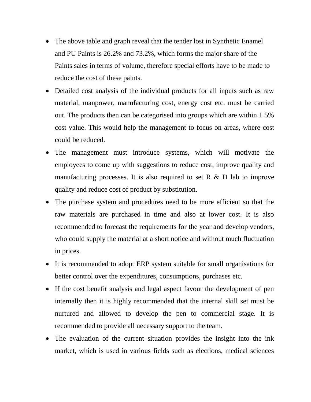- The above table and graph reveal that the tender lost in Synthetic Enamel and PU Paints is 26.2% and 73.2%, which forms the major share of the Paints sales in terms of volume, therefore special efforts have to be made to reduce the cost of these paints.
- Detailed cost analysis of the individual products for all inputs such as raw material, manpower, manufacturing cost, energy cost etc. must be carried out. The products then can be categorised into groups which are within  $\pm$  5% cost value. This would help the management to focus on areas, where cost could be reduced.
- The management must introduce systems, which will motivate the employees to come up with suggestions to reduce cost, improve quality and manufacturing processes. It is also required to set R  $\&$  D lab to improve quality and reduce cost of product by substitution.
- The purchase system and procedures need to be more efficient so that the raw materials are purchased in time and also at lower cost. It is also recommended to forecast the requirements for the year and develop vendors, who could supply the material at a short notice and without much fluctuation in prices.
- It is recommended to adopt ERP system suitable for small organisations for better control over the expenditures, consumptions, purchases etc.
- If the cost benefit analysis and legal aspect favour the development of pen internally then it is highly recommended that the internal skill set must be nurtured and allowed to develop the pen to commercial stage. It is recommended to provide all necessary support to the team.
- The evaluation of the current situation provides the insight into the ink market, which is used in various fields such as elections, medical sciences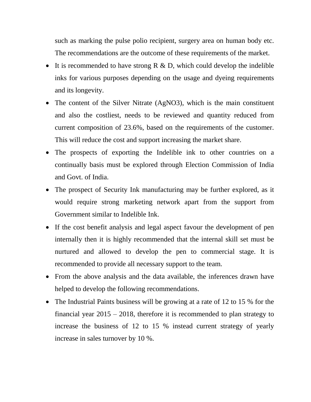such as marking the pulse polio recipient, surgery area on human body etc. The recommendations are the outcome of these requirements of the market.

- It is recommended to have strong  $R \& D$ , which could develop the indelible inks for various purposes depending on the usage and dyeing requirements and its longevity.
- The content of the Silver Nitrate (AgNO3), which is the main constituent and also the costliest, needs to be reviewed and quantity reduced from current composition of 23.6%, based on the requirements of the customer. This will reduce the cost and support increasing the market share.
- The prospects of exporting the Indelible ink to other countries on a continually basis must be explored through Election Commission of India and Govt. of India.
- The prospect of Security Ink manufacturing may be further explored, as it would require strong marketing network apart from the support from Government similar to Indelible Ink.
- If the cost benefit analysis and legal aspect favour the development of pen internally then it is highly recommended that the internal skill set must be nurtured and allowed to develop the pen to commercial stage. It is recommended to provide all necessary support to the team.
- From the above analysis and the data available, the inferences drawn have helped to develop the following recommendations.
- The Industrial Paints business will be growing at a rate of 12 to 15 % for the financial year 2015 – 2018, therefore it is recommended to plan strategy to increase the business of 12 to 15 % instead current strategy of yearly increase in sales turnover by 10 %.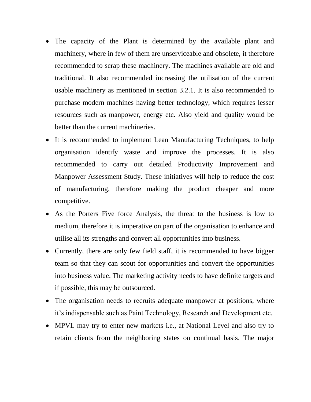- The capacity of the Plant is determined by the available plant and machinery, where in few of them are unserviceable and obsolete, it therefore recommended to scrap these machinery. The machines available are old and traditional. It also recommended increasing the utilisation of the current usable machinery as mentioned in section 3.2.1. It is also recommended to purchase modern machines having better technology, which requires lesser resources such as manpower, energy etc. Also yield and quality would be better than the current machineries.
- It is recommended to implement Lean Manufacturing Techniques, to help organisation identify waste and improve the processes. It is also recommended to carry out detailed Productivity Improvement and Manpower Assessment Study. These initiatives will help to reduce the cost of manufacturing, therefore making the product cheaper and more competitive.
- As the Porters Five force Analysis, the threat to the business is low to medium, therefore it is imperative on part of the organisation to enhance and utilise all its strengths and convert all opportunities into business.
- Currently, there are only few field staff, it is recommended to have bigger team so that they can scout for opportunities and convert the opportunities into business value. The marketing activity needs to have definite targets and if possible, this may be outsourced.
- The organisation needs to recruits adequate manpower at positions, where it's indispensable such as Paint Technology, Research and Development etc.
- MPVL may try to enter new markets i.e., at National Level and also try to retain clients from the neighboring states on continual basis. The major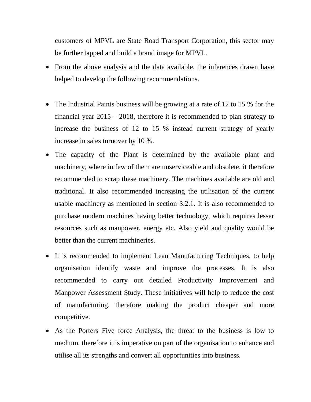customers of MPVL are State Road Transport Corporation, this sector may be further tapped and build a brand image for MPVL.

- From the above analysis and the data available, the inferences drawn have helped to develop the following recommendations.
- The Industrial Paints business will be growing at a rate of 12 to 15 % for the financial year 2015 – 2018, therefore it is recommended to plan strategy to increase the business of 12 to 15 % instead current strategy of yearly increase in sales turnover by 10 %.
- The capacity of the Plant is determined by the available plant and machinery, where in few of them are unserviceable and obsolete, it therefore recommended to scrap these machinery. The machines available are old and traditional. It also recommended increasing the utilisation of the current usable machinery as mentioned in section 3.2.1. It is also recommended to purchase modern machines having better technology, which requires lesser resources such as manpower, energy etc. Also yield and quality would be better than the current machineries.
- It is recommended to implement Lean Manufacturing Techniques, to help organisation identify waste and improve the processes. It is also recommended to carry out detailed Productivity Improvement and Manpower Assessment Study. These initiatives will help to reduce the cost of manufacturing, therefore making the product cheaper and more competitive.
- As the Porters Five force Analysis, the threat to the business is low to medium, therefore it is imperative on part of the organisation to enhance and utilise all its strengths and convert all opportunities into business.